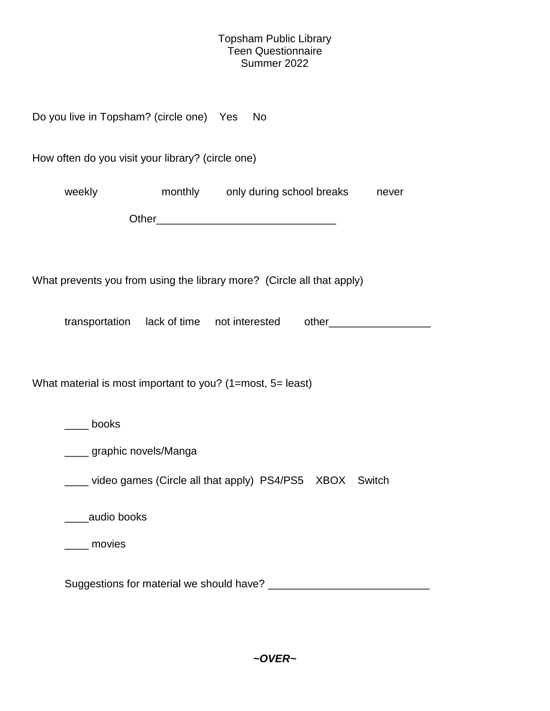## Topsham Public Library Teen Questionnaire Summer 2022

Do you live in Topsham? (circle one) Yes No How often do you visit your library? (circle one) weekly monthly only during school breaks never Other **compared to the compared of the compared of the compared of the compared of the compared of the compared of the compared of the compared of the compared of the compared of the compared of the compared of the compare** What prevents you from using the library more? (Circle all that apply) transportation lack of time not interested other\_\_\_\_\_\_\_\_\_\_\_\_\_\_\_\_\_ What material is most important to you? (1=most, 5= least) \_\_\_\_ books \_\_\_\_ graphic novels/Manga \_\_\_\_ video games (Circle all that apply) PS4/PS5 XBOX Switch \_\_\_\_audio books movies Suggestions for material we should have? \_\_\_\_\_\_\_\_\_\_\_\_\_\_\_\_\_\_\_\_\_\_\_\_\_\_\_